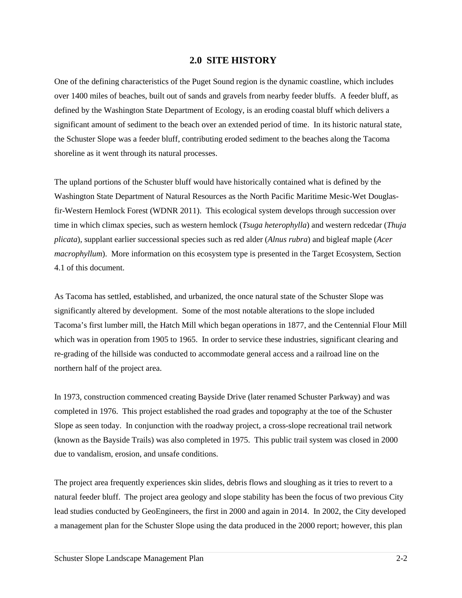## **2.0 SITE HISTORY**

One of the defining characteristics of the Puget Sound region is the dynamic coastline, which includes over 1400 miles of beaches, built out of sands and gravels from nearby feeder bluffs. A feeder bluff, as defined by the Washington State Department of Ecology, is an eroding coastal bluff which delivers a significant amount of sediment to the beach over an extended period of time. In its historic natural state, the Schuster Slope was a feeder bluff, contributing eroded sediment to the beaches along the Tacoma shoreline as it went through its natural processes.

The upland portions of the Schuster bluff would have historically contained what is defined by the Washington State Department of Natural Resources as the North Pacific Maritime Mesic-Wet Douglasfir-Western Hemlock Forest (WDNR 2011). This ecological system develops through succession over time in which climax species, such as western hemlock (*Tsuga heterophylla*) and western redcedar (*Thuja plicata*), supplant earlier successional species such as red alder (*Alnus rubra*) and bigleaf maple (*Acer macrophyllum*). More information on this ecosystem type is presented in the Target Ecosystem, Section 4.1 of this document.

As Tacoma has settled, established, and urbanized, the once natural state of the Schuster Slope was significantly altered by development. Some of the most notable alterations to the slope included Tacoma's first lumber mill, the Hatch Mill which began operations in 1877, and the Centennial Flour Mill which was in operation from 1905 to 1965. In order to service these industries, significant clearing and re-grading of the hillside was conducted to accommodate general access and a railroad line on the northern half of the project area.

In 1973, construction commenced creating Bayside Drive (later renamed Schuster Parkway) and was completed in 1976. This project established the road grades and topography at the toe of the Schuster Slope as seen today. In conjunction with the roadway project, a cross-slope recreational trail network (known as the Bayside Trails) was also completed in 1975. This public trail system was closed in 2000 due to vandalism, erosion, and unsafe conditions.

The project area frequently experiences skin slides, debris flows and sloughing as it tries to revert to a natural feeder bluff. The project area geology and slope stability has been the focus of two previous City lead studies conducted by GeoEngineers, the first in 2000 and again in 2014. In 2002, the City developed a management plan for the Schuster Slope using the data produced in the 2000 report; however, this plan